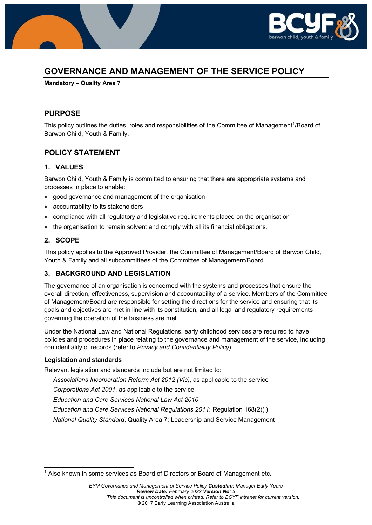

# **GOVERNANCE AND MANAGEMENT OF THE SERVICE POLICY**

**Mandatory – Quality Area 7**

## **PURPOSE**

This policy outlines the duties, roles and responsibilities of the Committee of Management<sup>[1](#page-0-0)</sup>/Board of Barwon Child, Youth & Family.

## **POLICY STATEMENT**

### **1. VALUES**

Barwon Child, Youth & Family is committed to ensuring that there are appropriate systems and processes in place to enable:

- good governance and management of the organisation
- accountability to its stakeholders
- compliance with all regulatory and legislative requirements placed on the organisation
- the organisation to remain solvent and comply with all its financial obligations.

### **2. SCOPE**

This policy applies to the Approved Provider, the Committee of Management/Board of Barwon Child, Youth & Family and all subcommittees of the Committee of Management/Board.

## **3. BACKGROUND AND LEGISLATION**

The governance of an organisation is concerned with the systems and processes that ensure the overall direction, effectiveness, supervision and accountability of a service. Members of the Committee of Management/Board are responsible for setting the directions for the service and ensuring that its goals and objectives are met in line with its constitution, and all legal and regulatory requirements governing the operation of the business are met.

Under the National Law and National Regulations, early childhood services are required to have policies and procedures in place relating to the governance and management of the service, including confidentiality of records (refer to *Privacy and Confidentiality Policy*).

### **Legislation and standards**

Relevant legislation and standards include but are not limited to:

*Associations Incorporation Reform Act 2012 (Vic),* as applicable to the service

*Corporations Act 2001*, as applicable to the service

*Education and Care Services National Law Act 2010*

*Education and Care Services National Regulations 2011*: Regulation 168(2)(l)

*National Quality Standard*, Quality Area 7: Leadership and Service Management

<span id="page-0-0"></span><sup>&</sup>lt;sup>1</sup> Also known in some services as Board of Directors or Board of Management etc.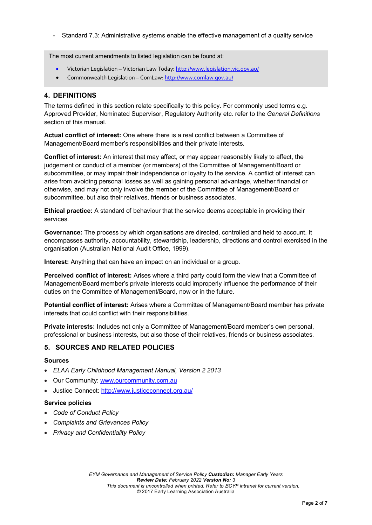- Standard 7.3: Administrative systems enable the effective management of a quality service

The most current amendments to listed legislation can be found at:

- Victorian Legislation Victorian Law Today[: http://www.legislation.vic.gov.au/](http://www.legislation.vic.gov.au/)
- Commonwealth Legislation ComLaw[: http://www.comlaw.gov.au/](http://www.comlaw.gov.au/)

### **4. DEFINITIONS**

The terms defined in this section relate specifically to this policy. For commonly used terms e.g. Approved Provider, Nominated Supervisor, Regulatory Authority etc. refer to the *General Definitions* section of this manual.

**Actual conflict of interest:** One where there is a real conflict between a Committee of Management/Board member's responsibilities and their private interests.

**Conflict of interest:** An interest that may affect, or may appear reasonably likely to affect, the judgement or conduct of a member (or members) of the Committee of Management/Board or subcommittee, or may impair their independence or loyalty to the service. A conflict of interest can arise from avoiding personal losses as well as gaining personal advantage, whether financial or otherwise, and may not only involve the member of the Committee of Management/Board or subcommittee, but also their relatives, friends or business associates.

**Ethical practice:** A standard of behaviour that the service deems acceptable in providing their services.

**Governance:** The process by which organisations are directed, controlled and held to account. It encompasses authority, accountability, stewardship, leadership, directions and control exercised in the organisation (Australian National Audit Office, 1999).

**Interest:** Anything that can have an impact on an individual or a group.

**Perceived conflict of interest:** Arises where a third party could form the view that a Committee of Management/Board member's private interests could improperly influence the performance of their duties on the Committee of Management/Board, now or in the future.

**Potential conflict of interest:** Arises where a Committee of Management/Board member has private interests that could conflict with their responsibilities.

**Private interests:** Includes not only a Committee of Management/Board member's own personal, professional or business interests, but also those of their relatives, friends or business associates.

## **5. SOURCES AND RELATED POLICIES**

#### **Sources**

- *ELAA Early Childhood Management Manual, Version 2 2013*
- Our Community: [www.ourcommunity.com.au](http://www.ourcommunity.com.au/)
- Justice Connect: <http://www.justiceconnect.org.au/>

#### **Service policies**

- *Code of Conduct Policy*
- *Complaints and Grievances Policy*
- *Privacy and Confidentiality Policy*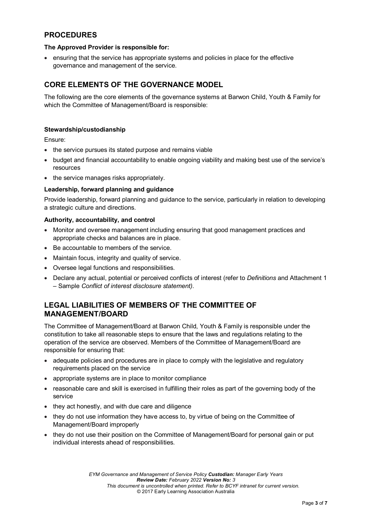## **PROCEDURES**

#### **The Approved Provider is responsible for:**

• ensuring that the service has appropriate systems and policies in place for the effective governance and management of the service.

## **CORE ELEMENTS OF THE GOVERNANCE MODEL**

The following are the core elements of the governance systems at Barwon Child, Youth & Family for which the Committee of Management/Board is responsible:

#### **Stewardship/custodianship**

Ensure:

- the service pursues its stated purpose and remains viable
- budget and financial accountability to enable ongoing viability and making best use of the service's resources
- the service manages risks appropriately.

#### **Leadership, forward planning and guidance**

Provide leadership, forward planning and guidance to the service, particularly in relation to developing a strategic culture and directions.

#### **Authority, accountability, and control**

- Monitor and oversee management including ensuring that good management practices and appropriate checks and balances are in place.
- Be accountable to members of the service.
- Maintain focus, integrity and quality of service.
- Oversee legal functions and responsibilities.
- Declare any actual, potential or perceived conflicts of interest (refer to *Definitions* and Attachment 1 – Sample *Conflict of interest disclosure statement)*.

## **LEGAL LIABILITIES OF MEMBERS OF THE COMMITTEE OF MANAGEMENT/BOARD**

The Committee of Management/Board at Barwon Child, Youth & Family is responsible under the constitution to take all reasonable steps to ensure that the laws and regulations relating to the operation of the service are observed. Members of the Committee of Management/Board are responsible for ensuring that:

- adequate policies and procedures are in place to comply with the legislative and regulatory requirements placed on the service
- appropriate systems are in place to monitor compliance
- reasonable care and skill is exercised in fulfilling their roles as part of the governing body of the service
- they act honestly, and with due care and diligence
- they do not use information they have access to, by virtue of being on the Committee of Management/Board improperly
- they do not use their position on the Committee of Management/Board for personal gain or put individual interests ahead of responsibilities.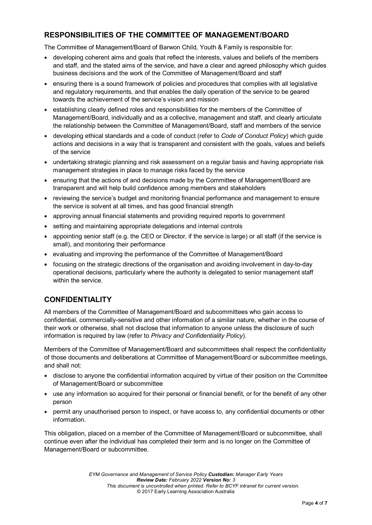## **RESPONSIBILITIES OF THE COMMITTEE OF MANAGEMENT/BOARD**

The Committee of Management/Board of Barwon Child, Youth & Family is responsible for:

- developing coherent aims and goals that reflect the interests, values and beliefs of the members and staff, and the stated aims of the service, and have a clear and agreed philosophy which guides business decisions and the work of the Committee of Management/Board and staff
- ensuring there is a sound framework of policies and procedures that complies with all legislative and regulatory requirements, and that enables the daily operation of the service to be geared towards the achievement of the service's vision and mission
- establishing clearly defined roles and responsibilities for the members of the Committee of Management/Board, individually and as a collective, management and staff, and clearly articulate the relationship between the Committee of Management/Board, staff and members of the service
- developing ethical standards and a code of conduct (refer to *Code of Conduct Policy*) which guide actions and decisions in a way that is transparent and consistent with the goals, values and beliefs of the service
- undertaking strategic planning and risk assessment on a regular basis and having appropriate risk management strategies in place to manage risks faced by the service
- ensuring that the actions of and decisions made by the Committee of Management/Board are transparent and will help build confidence among members and stakeholders
- reviewing the service's budget and monitoring financial performance and management to ensure the service is solvent at all times, and has good financial strength
- approving annual financial statements and providing required reports to government
- setting and maintaining appropriate delegations and internal controls
- appointing senior staff (e.g. the CEO or Director, if the service is large) or all staff (if the service is small), and monitoring their performance
- evaluating and improving the performance of the Committee of Management/Board
- focusing on the strategic directions of the organisation and avoiding involvement in day-to-day operational decisions, particularly where the authority is delegated to senior management staff within the service.

# **CONFIDENTIALITY**

All members of the Committee of Management/Board and subcommittees who gain access to confidential, commercially-sensitive and other information of a similar nature, whether in the course of their work or otherwise, shall not disclose that information to anyone unless the disclosure of such information is required by law (refer to *Privacy and Confidentiality Policy*).

Members of the Committee of Management/Board and subcommittees shall respect the confidentiality of those documents and deliberations at Committee of Management/Board or subcommittee meetings, and shall not:

- disclose to anyone the confidential information acquired by virtue of their position on the Committee of Management/Board or subcommittee
- use any information so acquired for their personal or financial benefit, or for the benefit of any other person
- permit any unauthorised person to inspect, or have access to, any confidential documents or other information.

This obligation, placed on a member of the Committee of Management/Board or subcommittee, shall continue even after the individual has completed their term and is no longer on the Committee of Management/Board or subcommittee.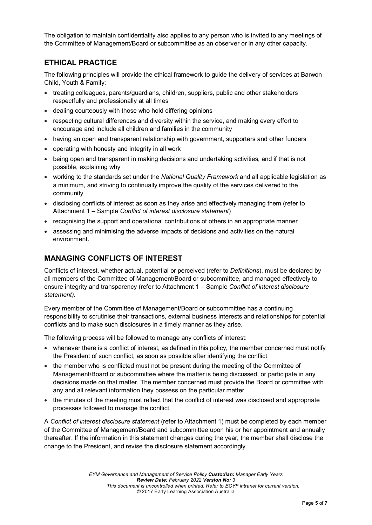The obligation to maintain confidentiality also applies to any person who is invited to any meetings of the Committee of Management/Board or subcommittee as an observer or in any other capacity.

## **ETHICAL PRACTICE**

The following principles will provide the ethical framework to guide the delivery of services at Barwon Child, Youth & Family:

- treating colleagues, parents/guardians, children, suppliers, public and other stakeholders respectfully and professionally at all times
- dealing courteously with those who hold differing opinions
- respecting cultural differences and diversity within the service, and making every effort to encourage and include all children and families in the community
- having an open and transparent relationship with government, supporters and other funders
- operating with honesty and integrity in all work
- being open and transparent in making decisions and undertaking activities, and if that is not possible, explaining why
- working to the standards set under the *National Quality Framework* and all applicable legislation as a minimum, and striving to continually improve the quality of the services delivered to the community
- disclosing conflicts of interest as soon as they arise and effectively managing them (refer to Attachment 1 – Sample *Conflict of interest disclosure statement*)
- recognising the support and operational contributions of others in an appropriate manner
- assessing and minimising the adverse impacts of decisions and activities on the natural environment.

### **MANAGING CONFLICTS OF INTEREST**

Conflicts of interest, whether actual, potential or perceived (refer to *Definitions*), must be declared by all members of the Committee of Management/Board or subcommittee, and managed effectively to ensure integrity and transparency (refer to Attachment 1 – Sample *Conflict of interest disclosure statement)*.

Every member of the Committee of Management/Board or subcommittee has a continuing responsibility to scrutinise their transactions, external business interests and relationships for potential conflicts and to make such disclosures in a timely manner as they arise.

The following process will be followed to manage any conflicts of interest:

- whenever there is a conflict of interest, as defined in this policy, the member concerned must notify the President of such conflict, as soon as possible after identifying the conflict
- the member who is conflicted must not be present during the meeting of the Committee of Management/Board or subcommittee where the matter is being discussed, or participate in any decisions made on that matter. The member concerned must provide the Board or committee with any and all relevant information they possess on the particular matter
- the minutes of the meeting must reflect that the conflict of interest was disclosed and appropriate processes followed to manage the conflict.

A *Conflict of interest disclosure statement* (refer to Attachment 1) must be completed by each member of the Committee of Management/Board and subcommittee upon his or her appointment and annually thereafter. If the information in this statement changes during the year, the member shall disclose the change to the President, and revise the disclosure statement accordingly.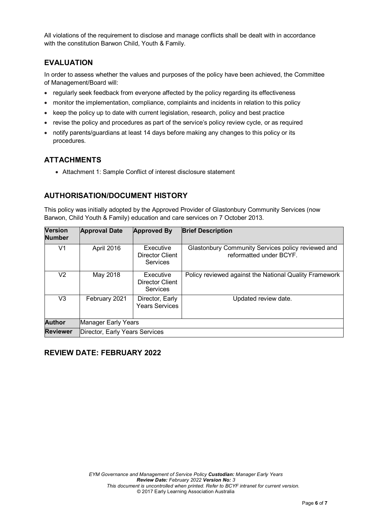All violations of the requirement to disclose and manage conflicts shall be dealt with in accordance with the constitution Barwon Child, Youth & Family.

## **EVALUATION**

In order to assess whether the values and purposes of the policy have been achieved, the Committee of Management/Board will:

- regularly seek feedback from everyone affected by the policy regarding its effectiveness
- monitor the implementation, compliance, complaints and incidents in relation to this policy
- keep the policy up to date with current legislation, research, policy and best practice
- revise the policy and procedures as part of the service's policy review cycle, or as required
- notify parents/guardians at least 14 days before making any changes to this policy or its procedures.

## **ATTACHMENTS**

• Attachment 1: Sample Conflict of interest disclosure statement

## **AUTHORISATION/DOCUMENT HISTORY**

This policy was initially adopted by the Approved Provider of Glastonbury Community Services (now Barwon, Child Youth & Family) education and care services on 7 October 2013.

| <b>Version</b><br><b>Number</b> | <b>Approval Date</b>           | <b>Approved By</b>                       | <b>Brief Description</b>                                                      |
|---------------------------------|--------------------------------|------------------------------------------|-------------------------------------------------------------------------------|
| V1                              | April 2016                     | Executive<br>Director Client<br>Services | Glastonbury Community Services policy reviewed and<br>reformatted under BCYF. |
| V2                              | May 2018                       | Executive<br>Director Client<br>Services | Policy reviewed against the National Quality Framework                        |
| V3                              | February 2021                  | Director, Early<br><b>Years Services</b> | Updated review date.                                                          |
| <b>Author</b>                   | Manager Early Years            |                                          |                                                                               |
| <b>Reviewer</b>                 | Director, Early Years Services |                                          |                                                                               |

## **REVIEW DATE: FEBRUARY 2022**